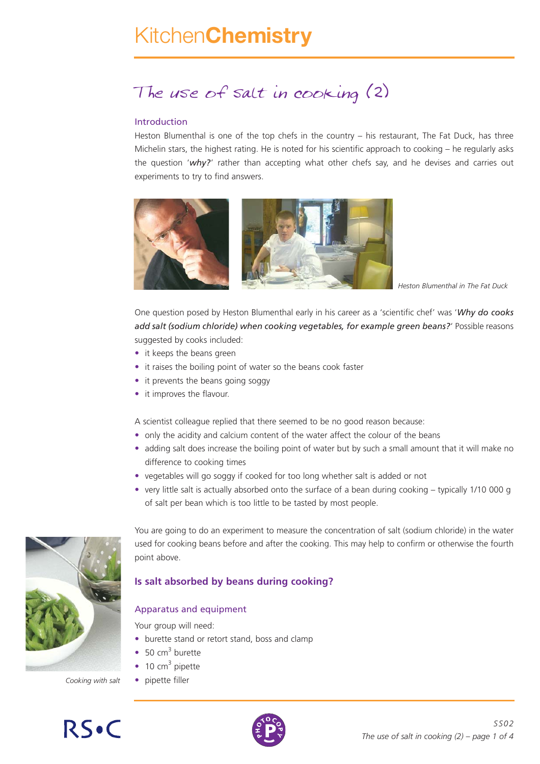# Kitchen**Chemistry**

## The use of salt in cooking (2)

#### Introduction

Heston Blumenthal is one of the top chefs in the country – his restaurant, The Fat Duck, has three Michelin stars, the highest rating. He is noted for his scientific approach to cooking – he regularly asks the question '*why?*' rather than accepting what other chefs say, and he devises and carries out experiments to try to find answers.



*Heston Blumenthal in The Fat Duck*

One question posed by Heston Blumenthal early in his career as a 'scientific chef' was '*Why do cooks add salt (sodium chloride) when cooking vegetables, for example green beans?*' Possible reasons suggested by cooks included:

- it keeps the beans green
- it raises the boiling point of water so the beans cook faster
- it prevents the beans going soggy
- it improves the flavour.

A scientist colleague replied that there seemed to be no good reason because:

- only the acidity and calcium content of the water affect the colour of the beans
- adding salt does increase the boiling point of water but by such a small amount that it will make no difference to cooking times
- vegetables will go soggy if cooked for too long whether salt is added or not
- very little salt is actually absorbed onto the surface of a bean during cooking typically 1/10 000 g of salt per bean which is too little to be tasted by most people.



You are going to do an experiment to measure the concentration of salt (sodium chloride) in the water used for cooking beans before and after the cooking. This may help to confirm or otherwise the fourth point above.

#### **Is salt absorbed by beans during cooking?**

#### Apparatus and equipment

Your group will need:

- burette stand or retort stand, boss and clamp
- $\bullet$  50 cm<sup>3</sup> burette
- $\bullet$  10 cm<sup>3</sup> pipette
- *Cooking with salt* pipette filler



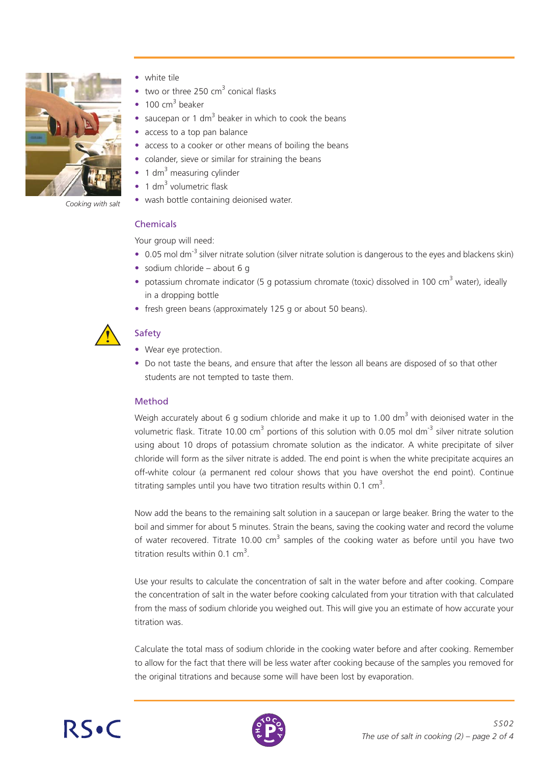

*Cooking with salt*

- white tile
- two or three 250  $\text{cm}^3$  conical flasks
- 100  $cm<sup>3</sup>$  beaker
- saucepan or 1 dm<sup>3</sup> beaker in which to cook the beans
- access to a top pan balance
- access to a cooker or other means of boiling the beans
- colander, sieve or similar for straining the beans
- 1 dm<sup>3</sup> measuring cylinder
- 1 dm $3$  volumetric flask
- wash bottle containing deionised water.

#### Chemicals

Your group will need:

- 0.05 mol dm<sup>-3</sup> silver nitrate solution (silver nitrate solution is dangerous to the eyes and blackens skin)
- sodium chloride about 6 g
- potassium chromate indicator (5 g potassium chromate (toxic) dissolved in 100 cm<sup>3</sup> water), ideally in a dropping bottle
- fresh green beans (approximately 125 g or about 50 beans).



### **Safety**

- Wear eye protection.
- Do not taste the beans, and ensure that after the lesson all beans are disposed of so that other students are not tempted to taste them.

#### Method

Weigh accurately about 6 g sodium chloride and make it up to 1.00 dm<sup>3</sup> with deionised water in the volumetric flask. Titrate 10.00 cm<sup>3</sup> portions of this solution with 0.05 mol dm<sup>-3</sup> silver nitrate solution using about 10 drops of potassium chromate solution as the indicator. A white precipitate of silver chloride will form as the silver nitrate is added. The end point is when the white precipitate acquires an off-white colour (a permanent red colour shows that you have overshot the end point). Continue titrating samples until you have two titration results within 0.1 cm<sup>3</sup>.

Now add the beans to the remaining salt solution in a saucepan or large beaker. Bring the water to the boil and simmer for about 5 minutes. Strain the beans, saving the cooking water and record the volume of water recovered. Titrate 10.00  $cm<sup>3</sup>$  samples of the cooking water as before until you have two titration results within 0.1  $cm<sup>3</sup>$ .

Use your results to calculate the concentration of salt in the water before and after cooking. Compare the concentration of salt in the water before cooking calculated from your titration with that calculated from the mass of sodium chloride you weighed out. This will give you an estimate of how accurate your titration was.

Calculate the total mass of sodium chloride in the cooking water before and after cooking. Remember to allow for the fact that there will be less water after cooking because of the samples you removed for the original titrations and because some will have been lost by evaporation.



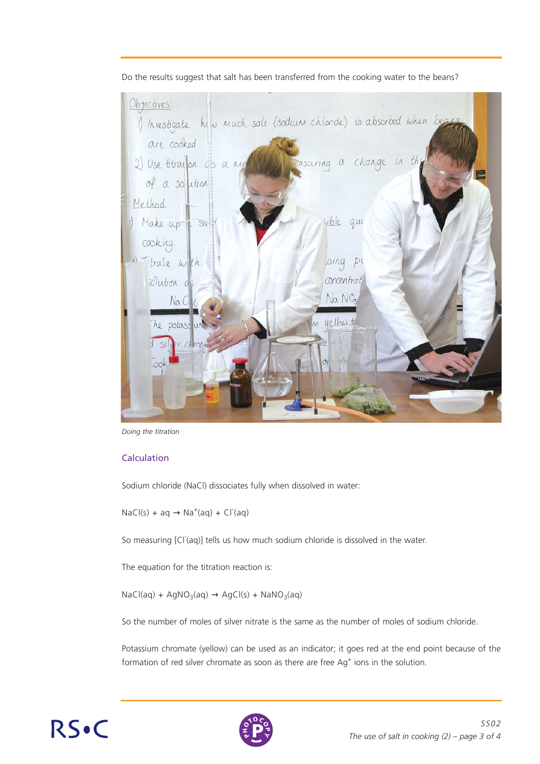

Do the results suggest that salt has been transferred from the cooking water to the beans?

*Doing the titration*

#### **Calculation**

Sodium chloride (NaCl) dissociates fully when dissolved in water:

 $NaCl(s) + aq \rightarrow Na^{+}(aq) + Cl^{+}(aq)$ 

So measuring [Cl<sup>-</sup>(aq)] tells us how much sodium chloride is dissolved in the water.

The equation for the titration reaction is:

 $NaCl(aq) + AgNO<sub>3</sub>(aq) \rightarrow AgCl(s) + NaNO<sub>3</sub>(aq)$ 

So the number of moles of silver nitrate is the same as the number of moles of sodium chloride.

Potassium chromate (yellow) can be used as an indicator; it goes red at the end point because of the formation of red silver chromate as soon as there are free Ag<sup>+</sup> ions in the solution.